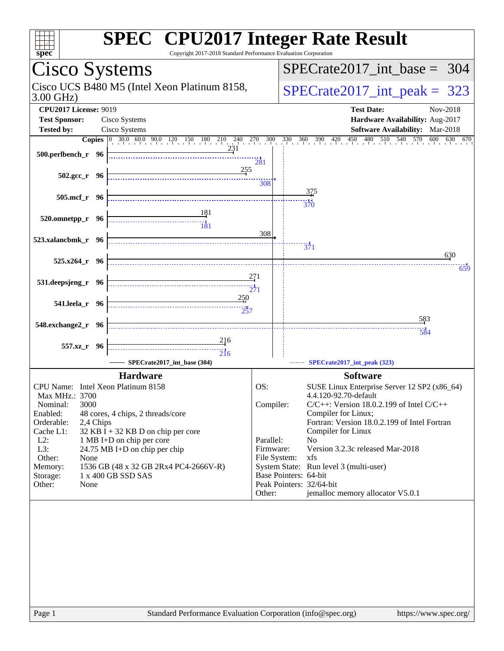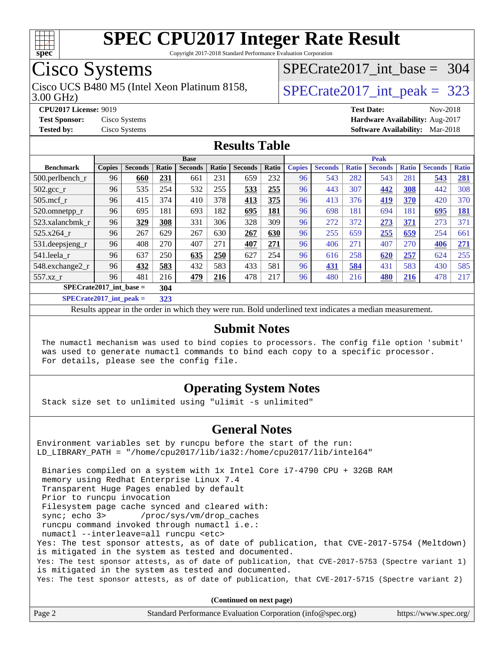

Copyright 2017-2018 Standard Performance Evaluation Corporation

# Cisco Systems

3.00 GHz) Cisco UCS B480 M5 (Intel Xeon Platinum 8158,  $\vert$ [SPECrate2017\\_int\\_peak =](http://www.spec.org/auto/cpu2017/Docs/result-fields.html#SPECrate2017intpeak) 323

[SPECrate2017\\_int\\_base =](http://www.spec.org/auto/cpu2017/Docs/result-fields.html#SPECrate2017intbase) 304

**[CPU2017 License:](http://www.spec.org/auto/cpu2017/Docs/result-fields.html#CPU2017License)** 9019 **[Test Date:](http://www.spec.org/auto/cpu2017/Docs/result-fields.html#TestDate)** Nov-2018 **[Test Sponsor:](http://www.spec.org/auto/cpu2017/Docs/result-fields.html#TestSponsor)** Cisco Systems **[Hardware Availability:](http://www.spec.org/auto/cpu2017/Docs/result-fields.html#HardwareAvailability)** Aug-2017 **[Tested by:](http://www.spec.org/auto/cpu2017/Docs/result-fields.html#Testedby)** Cisco Systems **[Software Availability:](http://www.spec.org/auto/cpu2017/Docs/result-fields.html#SoftwareAvailability)** Mar-2018

### **[Results Table](http://www.spec.org/auto/cpu2017/Docs/result-fields.html#ResultsTable)**

|                                  | <b>Base</b>   |                |       |                |       | <b>Peak</b>    |       |               |                |              |                |              |                |              |
|----------------------------------|---------------|----------------|-------|----------------|-------|----------------|-------|---------------|----------------|--------------|----------------|--------------|----------------|--------------|
| <b>Benchmark</b>                 | <b>Copies</b> | <b>Seconds</b> | Ratio | <b>Seconds</b> | Ratio | <b>Seconds</b> | Ratio | <b>Copies</b> | <b>Seconds</b> | <b>Ratio</b> | <b>Seconds</b> | <b>Ratio</b> | <b>Seconds</b> | <b>Ratio</b> |
| $500.$ perlbench_r               | 96            | 660            | 231   | 661            | 231   | 659            | 232   | 96            | 543            | 282          | 543            | 281          | 543            | <u>281</u>   |
| $502.\text{gcc}$ _r              | 96            | 535            | 254   | 532            | 255   | 533            | 255   | 96            | 443            | 307          | 442            | 308          | 442            | 308          |
| $505$ .mcf r                     | 96            | 415            | 374   | 410            | 378   | 413            | 375   | 96            | 413            | 376          | 419            | 370          | 420            | 370          |
| 520.omnetpp_r                    | 96            | 695            | 181   | 693            | 182   | 695            | 181   | 96            | 698            | 181          | 694            | 181          | 695            | <u>181</u>   |
| 523.xalancbmk r                  | 96            | 329            | 308   | 331            | 306   | 328            | 309   | 96            | 272            | 372          | 273            | 371          | 273            | 371          |
| 525.x264 r                       | 96            | 267            | 629   | 267            | 630   | 267            | 630   | 96            | 255            | 659          | 255            | 659          | 254            | 661          |
| 531.deepsjeng_r                  | 96            | 408            | 270   | 407            | 271   | <b>407</b>     | 271   | 96            | 406            | 271          | 407            | 270          | 406            | 271          |
| 541.leela_r                      | 96            | 637            | 250   | 635            | 250   | 627            | 254   | 96            | 616            | 258          | 620            | 257          | 624            | 255          |
| 548.exchange2_r                  | 96            | 432            | 583   | 432            | 583   | 433            | 581   | 96            | 431            | 584          | 431            | 583          | 430            | 585          |
| 557.xz r                         | 96            | 481            | 216   | 479            | 216   | 478            | 217   | 96            | 480            | 216          | 480            | 216          | 478            | 217          |
| $SPECrate2017$ int base =<br>304 |               |                |       |                |       |                |       |               |                |              |                |              |                |              |
| $CDDCA1 + 2017$ $1.4 - 1.1$      |               |                | 222   |                |       |                |       |               |                |              |                |              |                |              |

**[SPECrate2017\\_int\\_peak =](http://www.spec.org/auto/cpu2017/Docs/result-fields.html#SPECrate2017intpeak) 323**

Results appear in the [order in which they were run](http://www.spec.org/auto/cpu2017/Docs/result-fields.html#RunOrder). Bold underlined text [indicates a median measurement](http://www.spec.org/auto/cpu2017/Docs/result-fields.html#Median).

#### **[Submit Notes](http://www.spec.org/auto/cpu2017/Docs/result-fields.html#SubmitNotes)**

 The numactl mechanism was used to bind copies to processors. The config file option 'submit' was used to generate numactl commands to bind each copy to a specific processor. For details, please see the config file.

### **[Operating System Notes](http://www.spec.org/auto/cpu2017/Docs/result-fields.html#OperatingSystemNotes)**

Stack size set to unlimited using "ulimit -s unlimited"

#### **[General Notes](http://www.spec.org/auto/cpu2017/Docs/result-fields.html#GeneralNotes)**

Environment variables set by runcpu before the start of the run: LD\_LIBRARY\_PATH = "/home/cpu2017/lib/ia32:/home/cpu2017/lib/intel64"

 Binaries compiled on a system with 1x Intel Core i7-4790 CPU + 32GB RAM memory using Redhat Enterprise Linux 7.4 Transparent Huge Pages enabled by default Prior to runcpu invocation Filesystem page cache synced and cleared with: sync; echo 3> /proc/sys/vm/drop\_caches runcpu command invoked through numactl i.e.: numactl --interleave=all runcpu <etc> Yes: The test sponsor attests, as of date of publication, that CVE-2017-5754 (Meltdown) is mitigated in the system as tested and documented. Yes: The test sponsor attests, as of date of publication, that CVE-2017-5753 (Spectre variant 1) is mitigated in the system as tested and documented. Yes: The test sponsor attests, as of date of publication, that CVE-2017-5715 (Spectre variant 2)

**(Continued on next page)**

| Page 2 | Standard Performance Evaluation Corporation (info@spec.org) | https://www.spec.org/ |
|--------|-------------------------------------------------------------|-----------------------|
|        |                                                             |                       |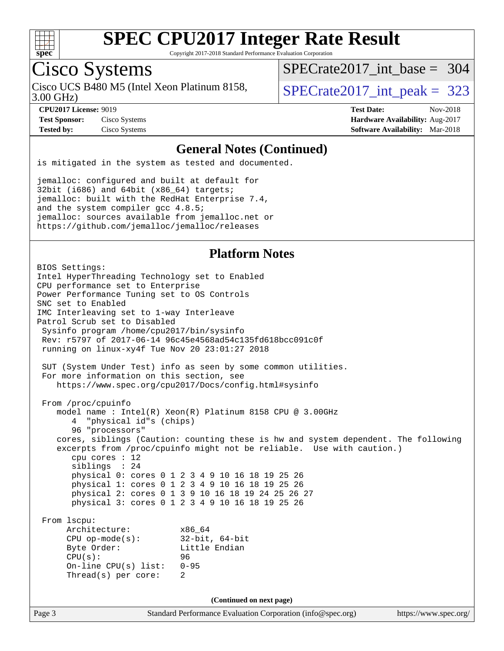

Copyright 2017-2018 Standard Performance Evaluation Corporation

# Cisco Systems

3.00 GHz) Cisco UCS B480 M5 (Intel Xeon Platinum 8158,  $\vert$ [SPECrate2017\\_int\\_peak =](http://www.spec.org/auto/cpu2017/Docs/result-fields.html#SPECrate2017intpeak) 323

[SPECrate2017\\_int\\_base =](http://www.spec.org/auto/cpu2017/Docs/result-fields.html#SPECrate2017intbase) 304

**[Test Sponsor:](http://www.spec.org/auto/cpu2017/Docs/result-fields.html#TestSponsor)** Cisco Systems **[Hardware Availability:](http://www.spec.org/auto/cpu2017/Docs/result-fields.html#HardwareAvailability)** Aug-2017

**[CPU2017 License:](http://www.spec.org/auto/cpu2017/Docs/result-fields.html#CPU2017License)** 9019 **[Test Date:](http://www.spec.org/auto/cpu2017/Docs/result-fields.html#TestDate)** Nov-2018 **[Tested by:](http://www.spec.org/auto/cpu2017/Docs/result-fields.html#Testedby)** Cisco Systems **[Software Availability:](http://www.spec.org/auto/cpu2017/Docs/result-fields.html#SoftwareAvailability)** Mar-2018

#### **[General Notes \(Continued\)](http://www.spec.org/auto/cpu2017/Docs/result-fields.html#GeneralNotes)**

is mitigated in the system as tested and documented.

jemalloc: configured and built at default for 32bit (i686) and 64bit (x86\_64) targets; jemalloc: built with the RedHat Enterprise 7.4, and the system compiler gcc 4.8.5; jemalloc: sources available from jemalloc.net or <https://github.com/jemalloc/jemalloc/releases>

### **[Platform Notes](http://www.spec.org/auto/cpu2017/Docs/result-fields.html#PlatformNotes)**

Page 3 Standard Performance Evaluation Corporation [\(info@spec.org\)](mailto:info@spec.org) <https://www.spec.org/> BIOS Settings: Intel HyperThreading Technology set to Enabled CPU performance set to Enterprise Power Performance Tuning set to OS Controls SNC set to Enabled IMC Interleaving set to 1-way Interleave Patrol Scrub set to Disabled Sysinfo program /home/cpu2017/bin/sysinfo Rev: r5797 of 2017-06-14 96c45e4568ad54c135fd618bcc091c0f running on linux-xy4f Tue Nov 20 23:01:27 2018 SUT (System Under Test) info as seen by some common utilities. For more information on this section, see <https://www.spec.org/cpu2017/Docs/config.html#sysinfo> From /proc/cpuinfo model name : Intel(R) Xeon(R) Platinum 8158 CPU @ 3.00GHz 4 "physical id"s (chips) 96 "processors" cores, siblings (Caution: counting these is hw and system dependent. The following excerpts from /proc/cpuinfo might not be reliable. Use with caution.) cpu cores : 12 siblings : 24 physical 0: cores 0 1 2 3 4 9 10 16 18 19 25 26 physical 1: cores 0 1 2 3 4 9 10 16 18 19 25 26 physical 2: cores 0 1 3 9 10 16 18 19 24 25 26 27 physical 3: cores 0 1 2 3 4 9 10 16 18 19 25 26 From lscpu: Architecture: x86\_64 CPU op-mode(s): 32-bit, 64-bit Byte Order: Little Endian CPU(s): 96 On-line CPU(s) list: 0-95 Thread(s) per core: 2 **(Continued on next page)**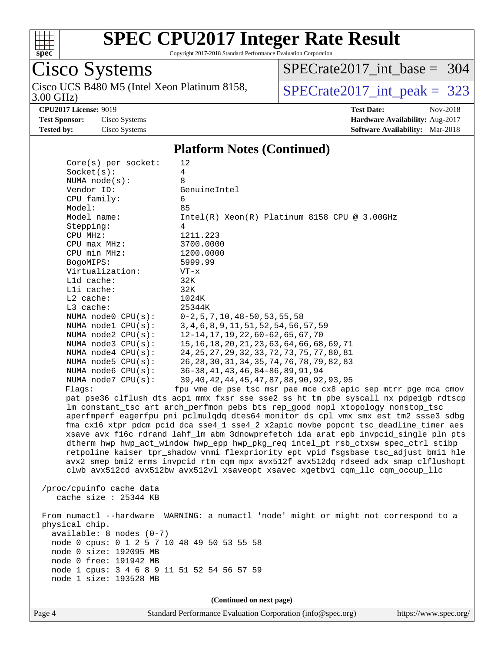

Cisco Systems

# **[SPEC CPU2017 Integer Rate Result](http://www.spec.org/auto/cpu2017/Docs/result-fields.html#SPECCPU2017IntegerRateResult)**

Cisco UCS B480 M5 (Intel Xeon Platinum 8158,  $\vert$ [SPECrate2017\\_int\\_peak =](http://www.spec.org/auto/cpu2017/Docs/result-fields.html#SPECrate2017intpeak) 323

[SPECrate2017\\_int\\_base =](http://www.spec.org/auto/cpu2017/Docs/result-fields.html#SPECrate2017intbase) 304

Copyright 2017-2018 Standard Performance Evaluation Corporation

3.00 GHz) **[CPU2017 License:](http://www.spec.org/auto/cpu2017/Docs/result-fields.html#CPU2017License)** 9019 **[Test Date:](http://www.spec.org/auto/cpu2017/Docs/result-fields.html#TestDate)** Nov-2018 **[Test Sponsor:](http://www.spec.org/auto/cpu2017/Docs/result-fields.html#TestSponsor)** Cisco Systems **[Hardware Availability:](http://www.spec.org/auto/cpu2017/Docs/result-fields.html#HardwareAvailability)** Aug-2017 **[Tested by:](http://www.spec.org/auto/cpu2017/Docs/result-fields.html#Testedby)** Cisco Systems **[Software Availability:](http://www.spec.org/auto/cpu2017/Docs/result-fields.html#SoftwareAvailability)** Mar-2018 **[Platform Notes \(Continued\)](http://www.spec.org/auto/cpu2017/Docs/result-fields.html#PlatformNotes)** Core(s) per socket: 12 Socket(s): 4 NUMA node(s): 8 Vendor ID: GenuineIntel CPU family: 6 Model: 85 Model name: Intel(R) Xeon(R) Platinum 8158 CPU @ 3.00GHz Stepping: 4 CPU MHz: 1211.223 CPU max MHz: 3700.0000 CPU min MHz: 1200.0000 BogoMIPS: 5999.99 Virtualization: VT-x L1d cache: 32K L1i cache: 32K L2 cache: 1024K L3 cache: 25344K NUMA node0 CPU(s): 0-2,5,7,10,48-50,53,55,58 NUMA node1 CPU(s): 3,4,6,8,9,11,51,52,54,56,57,59 NUMA node2 CPU(s): 12-14,17,19,22,60-62,65,67,70 NUMA node3 CPU(s): 15,16,18,20,21,23,63,64,66,68,69,71 NUMA node4 CPU(s): 24,25,27,29,32,33,72,73,75,77,80,81 NUMA node5 CPU(s): 26,28,30,31,34,35,74,76,78,79,82,83 NUMA node6 CPU(s): 36-38,41,43,46,84-86,89,91,94 NUMA node7 CPU(s): 39,40,42,44,45,47,87,88,90,92,93,95 Flags: fpu vme de pse tsc msr pae mce cx8 apic sep mtrr pge mca cmov pat pse36 clflush dts acpi mmx fxsr sse sse2 ss ht tm pbe syscall nx pdpe1gb rdtscp lm constant\_tsc art arch\_perfmon pebs bts rep\_good nopl xtopology nonstop\_tsc aperfmperf eagerfpu pni pclmulqdq dtes64 monitor ds\_cpl vmx smx est tm2 ssse3 sdbg fma cx16 xtpr pdcm pcid dca sse4\_1 sse4\_2 x2apic movbe popcnt tsc\_deadline\_timer aes xsave avx f16c rdrand lahf\_lm abm 3dnowprefetch ida arat epb invpcid\_single pln pts dtherm hwp hwp\_act\_window hwp\_epp hwp\_pkg\_req intel\_pt rsb\_ctxsw spec\_ctrl stibp retpoline kaiser tpr\_shadow vnmi flexpriority ept vpid fsgsbase tsc\_adjust bmi1 hle avx2 smep bmi2 erms invpcid rtm cqm mpx avx512f avx512dq rdseed adx smap clflushopt clwb avx512cd avx512bw avx512vl xsaveopt xsavec xgetbv1 cqm\_llc cqm\_occup\_llc /proc/cpuinfo cache data cache size : 25344 KB From numactl --hardware WARNING: a numactl 'node' might or might not correspond to a physical chip. available: 8 nodes (0-7) node 0 cpus: 0 1 2 5 7 10 48 49 50 53 55 58 node 0 size: 192095 MB node 0 free: 191942 MB node 1 cpus: 3 4 6 8 9 11 51 52 54 56 57 59 node 1 size: 193528 MB **(Continued on next page)**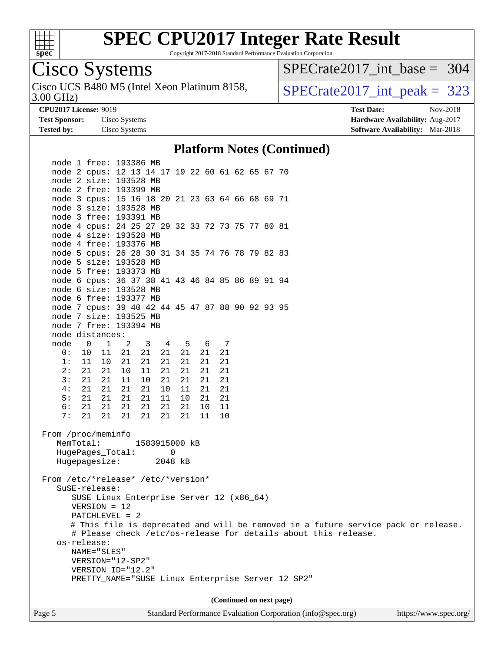

Copyright 2017-2018 Standard Performance Evaluation Corporation

## Cisco Systems

3.00 GHz) Cisco UCS B480 M5 (Intel Xeon Platinum 8158,  $\vert$ [SPECrate2017\\_int\\_peak =](http://www.spec.org/auto/cpu2017/Docs/result-fields.html#SPECrate2017intpeak) 323

[SPECrate2017\\_int\\_base =](http://www.spec.org/auto/cpu2017/Docs/result-fields.html#SPECrate2017intbase) 304

**[Tested by:](http://www.spec.org/auto/cpu2017/Docs/result-fields.html#Testedby)** Cisco Systems **[Software Availability:](http://www.spec.org/auto/cpu2017/Docs/result-fields.html#SoftwareAvailability)** Mar-2018

**[CPU2017 License:](http://www.spec.org/auto/cpu2017/Docs/result-fields.html#CPU2017License)** 9019 **[Test Date:](http://www.spec.org/auto/cpu2017/Docs/result-fields.html#TestDate)** Nov-2018 **[Test Sponsor:](http://www.spec.org/auto/cpu2017/Docs/result-fields.html#TestSponsor)** Cisco Systems **[Hardware Availability:](http://www.spec.org/auto/cpu2017/Docs/result-fields.html#HardwareAvailability)** Aug-2017

#### **[Platform Notes \(Continued\)](http://www.spec.org/auto/cpu2017/Docs/result-fields.html#PlatformNotes)**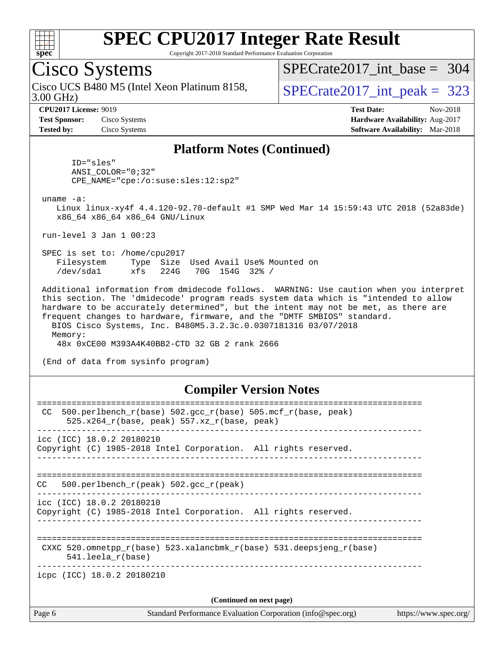

Copyright 2017-2018 Standard Performance Evaluation Corporation

### Cisco Systems

3.00 GHz) Cisco UCS B480 M5 (Intel Xeon Platinum 8158,  $\vert$ [SPECrate2017\\_int\\_peak =](http://www.spec.org/auto/cpu2017/Docs/result-fields.html#SPECrate2017intpeak) 323

[SPECrate2017\\_int\\_base =](http://www.spec.org/auto/cpu2017/Docs/result-fields.html#SPECrate2017intbase) 304

**[Test Sponsor:](http://www.spec.org/auto/cpu2017/Docs/result-fields.html#TestSponsor)** Cisco Systems **[Hardware Availability:](http://www.spec.org/auto/cpu2017/Docs/result-fields.html#HardwareAvailability)** Aug-2017

**[CPU2017 License:](http://www.spec.org/auto/cpu2017/Docs/result-fields.html#CPU2017License)** 9019 **[Test Date:](http://www.spec.org/auto/cpu2017/Docs/result-fields.html#TestDate)** Nov-2018 **[Tested by:](http://www.spec.org/auto/cpu2017/Docs/result-fields.html#Testedby)** Cisco Systems **[Software Availability:](http://www.spec.org/auto/cpu2017/Docs/result-fields.html#SoftwareAvailability)** Mar-2018

#### **[Platform Notes \(Continued\)](http://www.spec.org/auto/cpu2017/Docs/result-fields.html#PlatformNotes)**

 ID="sles" ANSI\_COLOR="0;32" CPE\_NAME="cpe:/o:suse:sles:12:sp2"

uname -a:

 Linux linux-xy4f 4.4.120-92.70-default #1 SMP Wed Mar 14 15:59:43 UTC 2018 (52a83de) x86\_64 x86\_64 x86\_64 GNU/Linux

run-level 3 Jan 1 00:23

 SPEC is set to: /home/cpu2017 Filesystem Type Size Used Avail Use% Mounted on /dev/sda1 xfs 224G 70G 154G 32% /

 Additional information from dmidecode follows. WARNING: Use caution when you interpret this section. The 'dmidecode' program reads system data which is "intended to allow hardware to be accurately determined", but the intent may not be met, as there are frequent changes to hardware, firmware, and the "DMTF SMBIOS" standard. BIOS Cisco Systems, Inc. B480M5.3.2.3c.0.0307181316 03/07/2018 Memory:

48x 0xCE00 M393A4K40BB2-CTD 32 GB 2 rank 2666

(End of data from sysinfo program)

#### **[Compiler Version Notes](http://www.spec.org/auto/cpu2017/Docs/result-fields.html#CompilerVersionNotes)**

| Page 6                                                                                                | Standard Performance Evaluation Corporation (info@spec.org)<br>https://www.spec.org/ |
|-------------------------------------------------------------------------------------------------------|--------------------------------------------------------------------------------------|
|                                                                                                       | (Continued on next page)                                                             |
| icpc (ICC) 18.0.2 20180210                                                                            |                                                                                      |
| $541.$ leela r(base)                                                                                  | CXXC 520.omnetpp $r(base)$ 523.xalancbmk $r(base)$ 531.deepsjeng $r(base)$           |
| $\text{icc}$ (ICC) 18.0.2 20180210<br>Copyright (C) 1985-2018 Intel Corporation. All rights reserved. |                                                                                      |
| 500.perlbench $r(\text{peak})$ 502.gcc $r(\text{peak})$<br>CC.                                        |                                                                                      |
| icc (ICC) 18.0.2 20180210<br>Copyright (C) 1985-2018 Intel Corporation. All rights reserved.          |                                                                                      |
| CC.<br>525.x264 $r(base, peak)$ 557.xz $r(base, peak)$                                                | $500. perlbench_r(base) 502. gcc_r(base) 505.mcf_r(base, peak)$                      |
|                                                                                                       |                                                                                      |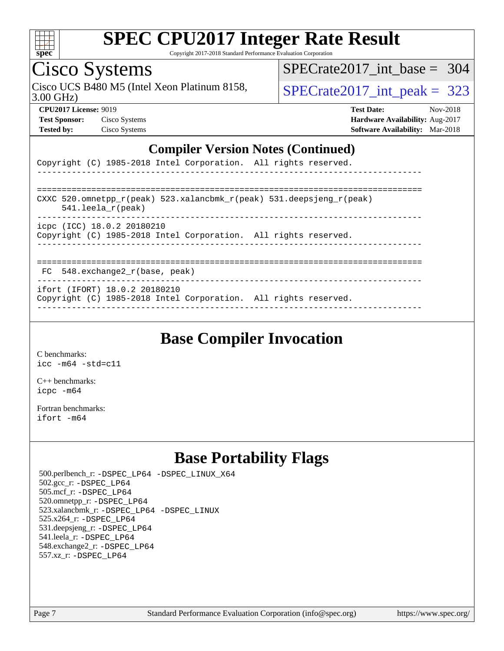

Copyright 2017-2018 Standard Performance Evaluation Corporation

# Cisco Systems

3.00 GHz) Cisco UCS B480 M5 (Intel Xeon Platinum 8158,  $\vert$ [SPECrate2017\\_int\\_peak =](http://www.spec.org/auto/cpu2017/Docs/result-fields.html#SPECrate2017intpeak) 323

[SPECrate2017\\_int\\_base =](http://www.spec.org/auto/cpu2017/Docs/result-fields.html#SPECrate2017intbase) 304

**[Test Sponsor:](http://www.spec.org/auto/cpu2017/Docs/result-fields.html#TestSponsor)** Cisco Systems **[Hardware Availability:](http://www.spec.org/auto/cpu2017/Docs/result-fields.html#HardwareAvailability)** Aug-2017

**[CPU2017 License:](http://www.spec.org/auto/cpu2017/Docs/result-fields.html#CPU2017License)** 9019 **[Test Date:](http://www.spec.org/auto/cpu2017/Docs/result-fields.html#TestDate)** Nov-2018 **[Tested by:](http://www.spec.org/auto/cpu2017/Docs/result-fields.html#Testedby)** Cisco Systems **[Software Availability:](http://www.spec.org/auto/cpu2017/Docs/result-fields.html#SoftwareAvailability)** Mar-2018

#### **[Compiler Version Notes \(Continued\)](http://www.spec.org/auto/cpu2017/Docs/result-fields.html#CompilerVersionNotes)**

|  |  | Copyright (C) 1985-2018 Intel Corporation. All rights reserved. |  |  |
|--|--|-----------------------------------------------------------------|--|--|
|  |  |                                                                 |  |  |

| CXXC 520.omnetpp $r(\text{peak})$ 523.xalancbmk $r(\text{peak})$ 531.deepsjeng $r(\text{peak})$<br>$541.$ leela r(peak) |
|-------------------------------------------------------------------------------------------------------------------------|
| icpc (ICC) 18.0.2 20180210<br>Copyright (C) 1985-2018 Intel Corporation. All rights reserved.                           |
|                                                                                                                         |

FC 548.exchange2\_r(base, peak)

------------------------------------------------------------------------------

ifort (IFORT) 18.0.2 20180210

Copyright (C) 1985-2018 Intel Corporation. All rights reserved. ------------------------------------------------------------------------------

### **[Base Compiler Invocation](http://www.spec.org/auto/cpu2017/Docs/result-fields.html#BaseCompilerInvocation)**

[C benchmarks](http://www.spec.org/auto/cpu2017/Docs/result-fields.html#Cbenchmarks): [icc -m64 -std=c11](http://www.spec.org/cpu2017/results/res2018q4/cpu2017-20181127-09999.flags.html#user_CCbase_intel_icc_64bit_c11_33ee0cdaae7deeeab2a9725423ba97205ce30f63b9926c2519791662299b76a0318f32ddfffdc46587804de3178b4f9328c46fa7c2b0cd779d7a61945c91cd35)

[C++ benchmarks:](http://www.spec.org/auto/cpu2017/Docs/result-fields.html#CXXbenchmarks) [icpc -m64](http://www.spec.org/cpu2017/results/res2018q4/cpu2017-20181127-09999.flags.html#user_CXXbase_intel_icpc_64bit_4ecb2543ae3f1412ef961e0650ca070fec7b7afdcd6ed48761b84423119d1bf6bdf5cad15b44d48e7256388bc77273b966e5eb805aefd121eb22e9299b2ec9d9)

[Fortran benchmarks](http://www.spec.org/auto/cpu2017/Docs/result-fields.html#Fortranbenchmarks): [ifort -m64](http://www.spec.org/cpu2017/results/res2018q4/cpu2017-20181127-09999.flags.html#user_FCbase_intel_ifort_64bit_24f2bb282fbaeffd6157abe4f878425411749daecae9a33200eee2bee2fe76f3b89351d69a8130dd5949958ce389cf37ff59a95e7a40d588e8d3a57e0c3fd751)

### **[Base Portability Flags](http://www.spec.org/auto/cpu2017/Docs/result-fields.html#BasePortabilityFlags)**

 500.perlbench\_r: [-DSPEC\\_LP64](http://www.spec.org/cpu2017/results/res2018q4/cpu2017-20181127-09999.flags.html#b500.perlbench_r_basePORTABILITY_DSPEC_LP64) [-DSPEC\\_LINUX\\_X64](http://www.spec.org/cpu2017/results/res2018q4/cpu2017-20181127-09999.flags.html#b500.perlbench_r_baseCPORTABILITY_DSPEC_LINUX_X64) 502.gcc\_r: [-DSPEC\\_LP64](http://www.spec.org/cpu2017/results/res2018q4/cpu2017-20181127-09999.flags.html#suite_basePORTABILITY502_gcc_r_DSPEC_LP64) 505.mcf\_r: [-DSPEC\\_LP64](http://www.spec.org/cpu2017/results/res2018q4/cpu2017-20181127-09999.flags.html#suite_basePORTABILITY505_mcf_r_DSPEC_LP64) 520.omnetpp\_r: [-DSPEC\\_LP64](http://www.spec.org/cpu2017/results/res2018q4/cpu2017-20181127-09999.flags.html#suite_basePORTABILITY520_omnetpp_r_DSPEC_LP64) 523.xalancbmk\_r: [-DSPEC\\_LP64](http://www.spec.org/cpu2017/results/res2018q4/cpu2017-20181127-09999.flags.html#suite_basePORTABILITY523_xalancbmk_r_DSPEC_LP64) [-DSPEC\\_LINUX](http://www.spec.org/cpu2017/results/res2018q4/cpu2017-20181127-09999.flags.html#b523.xalancbmk_r_baseCXXPORTABILITY_DSPEC_LINUX) 525.x264\_r: [-DSPEC\\_LP64](http://www.spec.org/cpu2017/results/res2018q4/cpu2017-20181127-09999.flags.html#suite_basePORTABILITY525_x264_r_DSPEC_LP64) 531.deepsjeng\_r: [-DSPEC\\_LP64](http://www.spec.org/cpu2017/results/res2018q4/cpu2017-20181127-09999.flags.html#suite_basePORTABILITY531_deepsjeng_r_DSPEC_LP64) 541.leela\_r: [-DSPEC\\_LP64](http://www.spec.org/cpu2017/results/res2018q4/cpu2017-20181127-09999.flags.html#suite_basePORTABILITY541_leela_r_DSPEC_LP64) 548.exchange2\_r: [-DSPEC\\_LP64](http://www.spec.org/cpu2017/results/res2018q4/cpu2017-20181127-09999.flags.html#suite_basePORTABILITY548_exchange2_r_DSPEC_LP64) 557.xz\_r: [-DSPEC\\_LP64](http://www.spec.org/cpu2017/results/res2018q4/cpu2017-20181127-09999.flags.html#suite_basePORTABILITY557_xz_r_DSPEC_LP64)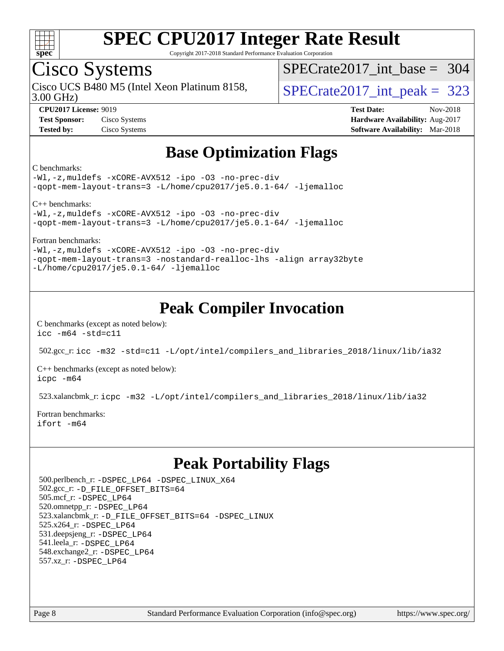

Copyright 2017-2018 Standard Performance Evaluation Corporation

### Cisco Systems

3.00 GHz) Cisco UCS B480 M5 (Intel Xeon Platinum 8158,  $\vert$ [SPECrate2017\\_int\\_peak =](http://www.spec.org/auto/cpu2017/Docs/result-fields.html#SPECrate2017intpeak) 323

[SPECrate2017\\_int\\_base =](http://www.spec.org/auto/cpu2017/Docs/result-fields.html#SPECrate2017intbase) 304

**[CPU2017 License:](http://www.spec.org/auto/cpu2017/Docs/result-fields.html#CPU2017License)** 9019 **[Test Date:](http://www.spec.org/auto/cpu2017/Docs/result-fields.html#TestDate)** Nov-2018 **[Test Sponsor:](http://www.spec.org/auto/cpu2017/Docs/result-fields.html#TestSponsor)** Cisco Systems **[Hardware Availability:](http://www.spec.org/auto/cpu2017/Docs/result-fields.html#HardwareAvailability)** Aug-2017 **[Tested by:](http://www.spec.org/auto/cpu2017/Docs/result-fields.html#Testedby)** Cisco Systems **[Software Availability:](http://www.spec.org/auto/cpu2017/Docs/result-fields.html#SoftwareAvailability)** Mar-2018

### **[Base Optimization Flags](http://www.spec.org/auto/cpu2017/Docs/result-fields.html#BaseOptimizationFlags)**

#### [C benchmarks:](http://www.spec.org/auto/cpu2017/Docs/result-fields.html#Cbenchmarks)

```
-Wl,-z,muldefs -xCORE-AVX512 -ipo -O3 -no-prec-div
-qopt-mem-layout-trans=3 -L/home/cpu2017/je5.0.1-64/ -ljemalloc
```
[C++ benchmarks](http://www.spec.org/auto/cpu2017/Docs/result-fields.html#CXXbenchmarks):

[-Wl,-z,muldefs](http://www.spec.org/cpu2017/results/res2018q4/cpu2017-20181127-09999.flags.html#user_CXXbase_link_force_multiple1_b4cbdb97b34bdee9ceefcfe54f4c8ea74255f0b02a4b23e853cdb0e18eb4525ac79b5a88067c842dd0ee6996c24547a27a4b99331201badda8798ef8a743f577) [-xCORE-AVX512](http://www.spec.org/cpu2017/results/res2018q4/cpu2017-20181127-09999.flags.html#user_CXXbase_f-xCORE-AVX512) [-ipo](http://www.spec.org/cpu2017/results/res2018q4/cpu2017-20181127-09999.flags.html#user_CXXbase_f-ipo) [-O3](http://www.spec.org/cpu2017/results/res2018q4/cpu2017-20181127-09999.flags.html#user_CXXbase_f-O3) [-no-prec-div](http://www.spec.org/cpu2017/results/res2018q4/cpu2017-20181127-09999.flags.html#user_CXXbase_f-no-prec-div) [-qopt-mem-layout-trans=3](http://www.spec.org/cpu2017/results/res2018q4/cpu2017-20181127-09999.flags.html#user_CXXbase_f-qopt-mem-layout-trans_de80db37974c74b1f0e20d883f0b675c88c3b01e9d123adea9b28688d64333345fb62bc4a798493513fdb68f60282f9a726aa07f478b2f7113531aecce732043) [-L/home/cpu2017/je5.0.1-64/](http://www.spec.org/cpu2017/results/res2018q4/cpu2017-20181127-09999.flags.html#user_CXXbase_jemalloc_link_path64_8e927a5f1bdac0405e66c637541874330e08086b5e62a1d024bcf3497e3c64fd173c8afb7d1730d51f6da781ef4c439bdab468bb8364cf71435e0c609fac500c) [-ljemalloc](http://www.spec.org/cpu2017/results/res2018q4/cpu2017-20181127-09999.flags.html#user_CXXbase_jemalloc_link_lib_d1249b907c500fa1c0672f44f562e3d0f79738ae9e3c4a9c376d49f265a04b9c99b167ecedbf6711b3085be911c67ff61f150a17b3472be731631ba4d0471706)

[Fortran benchmarks:](http://www.spec.org/auto/cpu2017/Docs/result-fields.html#Fortranbenchmarks)

[-Wl,-z,muldefs](http://www.spec.org/cpu2017/results/res2018q4/cpu2017-20181127-09999.flags.html#user_FCbase_link_force_multiple1_b4cbdb97b34bdee9ceefcfe54f4c8ea74255f0b02a4b23e853cdb0e18eb4525ac79b5a88067c842dd0ee6996c24547a27a4b99331201badda8798ef8a743f577) [-xCORE-AVX512](http://www.spec.org/cpu2017/results/res2018q4/cpu2017-20181127-09999.flags.html#user_FCbase_f-xCORE-AVX512) [-ipo](http://www.spec.org/cpu2017/results/res2018q4/cpu2017-20181127-09999.flags.html#user_FCbase_f-ipo) [-O3](http://www.spec.org/cpu2017/results/res2018q4/cpu2017-20181127-09999.flags.html#user_FCbase_f-O3) [-no-prec-div](http://www.spec.org/cpu2017/results/res2018q4/cpu2017-20181127-09999.flags.html#user_FCbase_f-no-prec-div) [-qopt-mem-layout-trans=3](http://www.spec.org/cpu2017/results/res2018q4/cpu2017-20181127-09999.flags.html#user_FCbase_f-qopt-mem-layout-trans_de80db37974c74b1f0e20d883f0b675c88c3b01e9d123adea9b28688d64333345fb62bc4a798493513fdb68f60282f9a726aa07f478b2f7113531aecce732043) [-nostandard-realloc-lhs](http://www.spec.org/cpu2017/results/res2018q4/cpu2017-20181127-09999.flags.html#user_FCbase_f_2003_std_realloc_82b4557e90729c0f113870c07e44d33d6f5a304b4f63d4c15d2d0f1fab99f5daaed73bdb9275d9ae411527f28b936061aa8b9c8f2d63842963b95c9dd6426b8a) [-align array32byte](http://www.spec.org/cpu2017/results/res2018q4/cpu2017-20181127-09999.flags.html#user_FCbase_align_array32byte_b982fe038af199962ba9a80c053b8342c548c85b40b8e86eb3cc33dee0d7986a4af373ac2d51c3f7cf710a18d62fdce2948f201cd044323541f22fc0fffc51b6) [-L/home/cpu2017/je5.0.1-64/](http://www.spec.org/cpu2017/results/res2018q4/cpu2017-20181127-09999.flags.html#user_FCbase_jemalloc_link_path64_8e927a5f1bdac0405e66c637541874330e08086b5e62a1d024bcf3497e3c64fd173c8afb7d1730d51f6da781ef4c439bdab468bb8364cf71435e0c609fac500c) [-ljemalloc](http://www.spec.org/cpu2017/results/res2018q4/cpu2017-20181127-09999.flags.html#user_FCbase_jemalloc_link_lib_d1249b907c500fa1c0672f44f562e3d0f79738ae9e3c4a9c376d49f265a04b9c99b167ecedbf6711b3085be911c67ff61f150a17b3472be731631ba4d0471706)

### **[Peak Compiler Invocation](http://www.spec.org/auto/cpu2017/Docs/result-fields.html#PeakCompilerInvocation)**

[C benchmarks \(except as noted below\)](http://www.spec.org/auto/cpu2017/Docs/result-fields.html#Cbenchmarksexceptasnotedbelow): [icc -m64 -std=c11](http://www.spec.org/cpu2017/results/res2018q4/cpu2017-20181127-09999.flags.html#user_CCpeak_intel_icc_64bit_c11_33ee0cdaae7deeeab2a9725423ba97205ce30f63b9926c2519791662299b76a0318f32ddfffdc46587804de3178b4f9328c46fa7c2b0cd779d7a61945c91cd35)

502.gcc\_r: [icc -m32 -std=c11 -L/opt/intel/compilers\\_and\\_libraries\\_2018/linux/lib/ia32](http://www.spec.org/cpu2017/results/res2018q4/cpu2017-20181127-09999.flags.html#user_peakCCLD502_gcc_r_intel_icc_2aadaa14f62c0e1495cde6f74ba3d875dfbad9f2fd73ceb1e5b66a7d4b19dc13cfe8615ba85624bf35f0c003544b7d55013bf72425d956b559f9a2757f69c910)

[C++ benchmarks \(except as noted below\):](http://www.spec.org/auto/cpu2017/Docs/result-fields.html#CXXbenchmarksexceptasnotedbelow) [icpc -m64](http://www.spec.org/cpu2017/results/res2018q4/cpu2017-20181127-09999.flags.html#user_CXXpeak_intel_icpc_64bit_4ecb2543ae3f1412ef961e0650ca070fec7b7afdcd6ed48761b84423119d1bf6bdf5cad15b44d48e7256388bc77273b966e5eb805aefd121eb22e9299b2ec9d9)

523.xalancbmk\_r: [icpc -m32 -L/opt/intel/compilers\\_and\\_libraries\\_2018/linux/lib/ia32](http://www.spec.org/cpu2017/results/res2018q4/cpu2017-20181127-09999.flags.html#user_peakCXXLD523_xalancbmk_r_intel_icpc_49b8c4a2e52517df5e44233d8730ac3dfca5acbb5ef11df3347e50260a55109134bcb7fd2e543798dfd93e66566a4e08776ad3f7d40a4ff4276870c090f61f0e)

[Fortran benchmarks](http://www.spec.org/auto/cpu2017/Docs/result-fields.html#Fortranbenchmarks): [ifort -m64](http://www.spec.org/cpu2017/results/res2018q4/cpu2017-20181127-09999.flags.html#user_FCpeak_intel_ifort_64bit_24f2bb282fbaeffd6157abe4f878425411749daecae9a33200eee2bee2fe76f3b89351d69a8130dd5949958ce389cf37ff59a95e7a40d588e8d3a57e0c3fd751)

### **[Peak Portability Flags](http://www.spec.org/auto/cpu2017/Docs/result-fields.html#PeakPortabilityFlags)**

 500.perlbench\_r: [-DSPEC\\_LP64](http://www.spec.org/cpu2017/results/res2018q4/cpu2017-20181127-09999.flags.html#b500.perlbench_r_peakPORTABILITY_DSPEC_LP64) [-DSPEC\\_LINUX\\_X64](http://www.spec.org/cpu2017/results/res2018q4/cpu2017-20181127-09999.flags.html#b500.perlbench_r_peakCPORTABILITY_DSPEC_LINUX_X64) 502.gcc\_r: [-D\\_FILE\\_OFFSET\\_BITS=64](http://www.spec.org/cpu2017/results/res2018q4/cpu2017-20181127-09999.flags.html#user_peakPORTABILITY502_gcc_r_file_offset_bits_64_5ae949a99b284ddf4e95728d47cb0843d81b2eb0e18bdfe74bbf0f61d0b064f4bda2f10ea5eb90e1dcab0e84dbc592acfc5018bc955c18609f94ddb8d550002c) 505.mcf\_r: [-DSPEC\\_LP64](http://www.spec.org/cpu2017/results/res2018q4/cpu2017-20181127-09999.flags.html#suite_peakPORTABILITY505_mcf_r_DSPEC_LP64) 520.omnetpp\_r: [-DSPEC\\_LP64](http://www.spec.org/cpu2017/results/res2018q4/cpu2017-20181127-09999.flags.html#suite_peakPORTABILITY520_omnetpp_r_DSPEC_LP64) 523.xalancbmk\_r: [-D\\_FILE\\_OFFSET\\_BITS=64](http://www.spec.org/cpu2017/results/res2018q4/cpu2017-20181127-09999.flags.html#user_peakPORTABILITY523_xalancbmk_r_file_offset_bits_64_5ae949a99b284ddf4e95728d47cb0843d81b2eb0e18bdfe74bbf0f61d0b064f4bda2f10ea5eb90e1dcab0e84dbc592acfc5018bc955c18609f94ddb8d550002c) [-DSPEC\\_LINUX](http://www.spec.org/cpu2017/results/res2018q4/cpu2017-20181127-09999.flags.html#b523.xalancbmk_r_peakCXXPORTABILITY_DSPEC_LINUX) 525.x264\_r: [-DSPEC\\_LP64](http://www.spec.org/cpu2017/results/res2018q4/cpu2017-20181127-09999.flags.html#suite_peakPORTABILITY525_x264_r_DSPEC_LP64) 531.deepsjeng\_r: [-DSPEC\\_LP64](http://www.spec.org/cpu2017/results/res2018q4/cpu2017-20181127-09999.flags.html#suite_peakPORTABILITY531_deepsjeng_r_DSPEC_LP64) 541.leela\_r: [-DSPEC\\_LP64](http://www.spec.org/cpu2017/results/res2018q4/cpu2017-20181127-09999.flags.html#suite_peakPORTABILITY541_leela_r_DSPEC_LP64) 548.exchange2\_r: [-DSPEC\\_LP64](http://www.spec.org/cpu2017/results/res2018q4/cpu2017-20181127-09999.flags.html#suite_peakPORTABILITY548_exchange2_r_DSPEC_LP64) 557.xz\_r: [-DSPEC\\_LP64](http://www.spec.org/cpu2017/results/res2018q4/cpu2017-20181127-09999.flags.html#suite_peakPORTABILITY557_xz_r_DSPEC_LP64)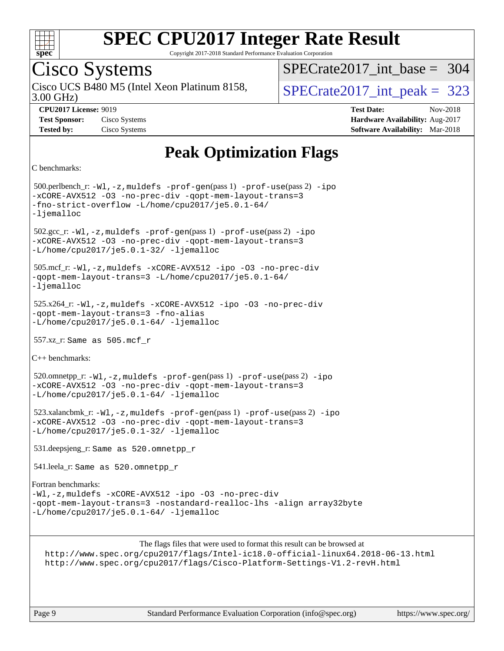

Copyright 2017-2018 Standard Performance Evaluation Corporation

## Cisco Systems

3.00 GHz) Cisco UCS B480 M5 (Intel Xeon Platinum 8158,  $\vert$ [SPECrate2017\\_int\\_peak =](http://www.spec.org/auto/cpu2017/Docs/result-fields.html#SPECrate2017intpeak) 323

[SPECrate2017\\_int\\_base =](http://www.spec.org/auto/cpu2017/Docs/result-fields.html#SPECrate2017intbase) 304

**[CPU2017 License:](http://www.spec.org/auto/cpu2017/Docs/result-fields.html#CPU2017License)** 9019 **[Test Date:](http://www.spec.org/auto/cpu2017/Docs/result-fields.html#TestDate)** Nov-2018 **[Test Sponsor:](http://www.spec.org/auto/cpu2017/Docs/result-fields.html#TestSponsor)** Cisco Systems **[Hardware Availability:](http://www.spec.org/auto/cpu2017/Docs/result-fields.html#HardwareAvailability)** Aug-2017 **[Tested by:](http://www.spec.org/auto/cpu2017/Docs/result-fields.html#Testedby)** Cisco Systems **[Software Availability:](http://www.spec.org/auto/cpu2017/Docs/result-fields.html#SoftwareAvailability)** Mar-2018

### **[Peak Optimization Flags](http://www.spec.org/auto/cpu2017/Docs/result-fields.html#PeakOptimizationFlags)**

```
C benchmarks:
```
 500.perlbench\_r: [-Wl,-z,muldefs](http://www.spec.org/cpu2017/results/res2018q4/cpu2017-20181127-09999.flags.html#user_peakEXTRA_LDFLAGS500_perlbench_r_link_force_multiple1_b4cbdb97b34bdee9ceefcfe54f4c8ea74255f0b02a4b23e853cdb0e18eb4525ac79b5a88067c842dd0ee6996c24547a27a4b99331201badda8798ef8a743f577) [-prof-gen](http://www.spec.org/cpu2017/results/res2018q4/cpu2017-20181127-09999.flags.html#user_peakPASS1_CFLAGSPASS1_LDFLAGS500_perlbench_r_prof_gen_5aa4926d6013ddb2a31985c654b3eb18169fc0c6952a63635c234f711e6e63dd76e94ad52365559451ec499a2cdb89e4dc58ba4c67ef54ca681ffbe1461d6b36)(pass 1) [-prof-use](http://www.spec.org/cpu2017/results/res2018q4/cpu2017-20181127-09999.flags.html#user_peakPASS2_CFLAGSPASS2_LDFLAGS500_perlbench_r_prof_use_1a21ceae95f36a2b53c25747139a6c16ca95bd9def2a207b4f0849963b97e94f5260e30a0c64f4bb623698870e679ca08317ef8150905d41bd88c6f78df73f19)(pass 2) [-ipo](http://www.spec.org/cpu2017/results/res2018q4/cpu2017-20181127-09999.flags.html#user_peakPASS1_COPTIMIZEPASS2_COPTIMIZE500_perlbench_r_f-ipo) [-xCORE-AVX512](http://www.spec.org/cpu2017/results/res2018q4/cpu2017-20181127-09999.flags.html#user_peakPASS2_COPTIMIZE500_perlbench_r_f-xCORE-AVX512) [-O3](http://www.spec.org/cpu2017/results/res2018q4/cpu2017-20181127-09999.flags.html#user_peakPASS1_COPTIMIZEPASS2_COPTIMIZE500_perlbench_r_f-O3) [-no-prec-div](http://www.spec.org/cpu2017/results/res2018q4/cpu2017-20181127-09999.flags.html#user_peakPASS1_COPTIMIZEPASS2_COPTIMIZE500_perlbench_r_f-no-prec-div) [-qopt-mem-layout-trans=3](http://www.spec.org/cpu2017/results/res2018q4/cpu2017-20181127-09999.flags.html#user_peakPASS1_COPTIMIZEPASS2_COPTIMIZE500_perlbench_r_f-qopt-mem-layout-trans_de80db37974c74b1f0e20d883f0b675c88c3b01e9d123adea9b28688d64333345fb62bc4a798493513fdb68f60282f9a726aa07f478b2f7113531aecce732043) [-fno-strict-overflow](http://www.spec.org/cpu2017/results/res2018q4/cpu2017-20181127-09999.flags.html#user_peakEXTRA_OPTIMIZE500_perlbench_r_f-fno-strict-overflow) [-L/home/cpu2017/je5.0.1-64/](http://www.spec.org/cpu2017/results/res2018q4/cpu2017-20181127-09999.flags.html#user_peakEXTRA_LIBS500_perlbench_r_jemalloc_link_path64_8e927a5f1bdac0405e66c637541874330e08086b5e62a1d024bcf3497e3c64fd173c8afb7d1730d51f6da781ef4c439bdab468bb8364cf71435e0c609fac500c) [-ljemalloc](http://www.spec.org/cpu2017/results/res2018q4/cpu2017-20181127-09999.flags.html#user_peakEXTRA_LIBS500_perlbench_r_jemalloc_link_lib_d1249b907c500fa1c0672f44f562e3d0f79738ae9e3c4a9c376d49f265a04b9c99b167ecedbf6711b3085be911c67ff61f150a17b3472be731631ba4d0471706) 502.gcc\_r: [-Wl,-z,muldefs](http://www.spec.org/cpu2017/results/res2018q4/cpu2017-20181127-09999.flags.html#user_peakEXTRA_LDFLAGS502_gcc_r_link_force_multiple1_b4cbdb97b34bdee9ceefcfe54f4c8ea74255f0b02a4b23e853cdb0e18eb4525ac79b5a88067c842dd0ee6996c24547a27a4b99331201badda8798ef8a743f577) [-prof-gen](http://www.spec.org/cpu2017/results/res2018q4/cpu2017-20181127-09999.flags.html#user_peakPASS1_CFLAGSPASS1_LDFLAGS502_gcc_r_prof_gen_5aa4926d6013ddb2a31985c654b3eb18169fc0c6952a63635c234f711e6e63dd76e94ad52365559451ec499a2cdb89e4dc58ba4c67ef54ca681ffbe1461d6b36)(pass 1) [-prof-use](http://www.spec.org/cpu2017/results/res2018q4/cpu2017-20181127-09999.flags.html#user_peakPASS2_CFLAGSPASS2_LDFLAGS502_gcc_r_prof_use_1a21ceae95f36a2b53c25747139a6c16ca95bd9def2a207b4f0849963b97e94f5260e30a0c64f4bb623698870e679ca08317ef8150905d41bd88c6f78df73f19)(pass 2) [-ipo](http://www.spec.org/cpu2017/results/res2018q4/cpu2017-20181127-09999.flags.html#user_peakPASS1_COPTIMIZEPASS2_COPTIMIZE502_gcc_r_f-ipo) [-xCORE-AVX512](http://www.spec.org/cpu2017/results/res2018q4/cpu2017-20181127-09999.flags.html#user_peakPASS2_COPTIMIZE502_gcc_r_f-xCORE-AVX512) [-O3](http://www.spec.org/cpu2017/results/res2018q4/cpu2017-20181127-09999.flags.html#user_peakPASS1_COPTIMIZEPASS2_COPTIMIZE502_gcc_r_f-O3) [-no-prec-div](http://www.spec.org/cpu2017/results/res2018q4/cpu2017-20181127-09999.flags.html#user_peakPASS1_COPTIMIZEPASS2_COPTIMIZE502_gcc_r_f-no-prec-div) [-qopt-mem-layout-trans=3](http://www.spec.org/cpu2017/results/res2018q4/cpu2017-20181127-09999.flags.html#user_peakPASS1_COPTIMIZEPASS2_COPTIMIZE502_gcc_r_f-qopt-mem-layout-trans_de80db37974c74b1f0e20d883f0b675c88c3b01e9d123adea9b28688d64333345fb62bc4a798493513fdb68f60282f9a726aa07f478b2f7113531aecce732043) [-L/home/cpu2017/je5.0.1-32/](http://www.spec.org/cpu2017/results/res2018q4/cpu2017-20181127-09999.flags.html#user_peakEXTRA_LIBS502_gcc_r_jemalloc_link_path32_395839964bb6e7d127dfa41a70bc909a71494bc32f82a1f18d87c6546a5f35ea9c5ad3c111b30f9a5397a6f43b4f43a41cfbf7d188da9198ed16c21920a4a794) [-ljemalloc](http://www.spec.org/cpu2017/results/res2018q4/cpu2017-20181127-09999.flags.html#user_peakEXTRA_LIBS502_gcc_r_jemalloc_link_lib_d1249b907c500fa1c0672f44f562e3d0f79738ae9e3c4a9c376d49f265a04b9c99b167ecedbf6711b3085be911c67ff61f150a17b3472be731631ba4d0471706) 505.mcf\_r: [-Wl,-z,muldefs](http://www.spec.org/cpu2017/results/res2018q4/cpu2017-20181127-09999.flags.html#user_peakEXTRA_LDFLAGS505_mcf_r_link_force_multiple1_b4cbdb97b34bdee9ceefcfe54f4c8ea74255f0b02a4b23e853cdb0e18eb4525ac79b5a88067c842dd0ee6996c24547a27a4b99331201badda8798ef8a743f577) [-xCORE-AVX512](http://www.spec.org/cpu2017/results/res2018q4/cpu2017-20181127-09999.flags.html#user_peakCOPTIMIZE505_mcf_r_f-xCORE-AVX512) [-ipo](http://www.spec.org/cpu2017/results/res2018q4/cpu2017-20181127-09999.flags.html#user_peakCOPTIMIZE505_mcf_r_f-ipo) [-O3](http://www.spec.org/cpu2017/results/res2018q4/cpu2017-20181127-09999.flags.html#user_peakCOPTIMIZE505_mcf_r_f-O3) [-no-prec-div](http://www.spec.org/cpu2017/results/res2018q4/cpu2017-20181127-09999.flags.html#user_peakCOPTIMIZE505_mcf_r_f-no-prec-div) [-qopt-mem-layout-trans=3](http://www.spec.org/cpu2017/results/res2018q4/cpu2017-20181127-09999.flags.html#user_peakCOPTIMIZE505_mcf_r_f-qopt-mem-layout-trans_de80db37974c74b1f0e20d883f0b675c88c3b01e9d123adea9b28688d64333345fb62bc4a798493513fdb68f60282f9a726aa07f478b2f7113531aecce732043) [-L/home/cpu2017/je5.0.1-64/](http://www.spec.org/cpu2017/results/res2018q4/cpu2017-20181127-09999.flags.html#user_peakEXTRA_LIBS505_mcf_r_jemalloc_link_path64_8e927a5f1bdac0405e66c637541874330e08086b5e62a1d024bcf3497e3c64fd173c8afb7d1730d51f6da781ef4c439bdab468bb8364cf71435e0c609fac500c) [-ljemalloc](http://www.spec.org/cpu2017/results/res2018q4/cpu2017-20181127-09999.flags.html#user_peakEXTRA_LIBS505_mcf_r_jemalloc_link_lib_d1249b907c500fa1c0672f44f562e3d0f79738ae9e3c4a9c376d49f265a04b9c99b167ecedbf6711b3085be911c67ff61f150a17b3472be731631ba4d0471706) 525.x264\_r: [-Wl,-z,muldefs](http://www.spec.org/cpu2017/results/res2018q4/cpu2017-20181127-09999.flags.html#user_peakEXTRA_LDFLAGS525_x264_r_link_force_multiple1_b4cbdb97b34bdee9ceefcfe54f4c8ea74255f0b02a4b23e853cdb0e18eb4525ac79b5a88067c842dd0ee6996c24547a27a4b99331201badda8798ef8a743f577) [-xCORE-AVX512](http://www.spec.org/cpu2017/results/res2018q4/cpu2017-20181127-09999.flags.html#user_peakCOPTIMIZE525_x264_r_f-xCORE-AVX512) [-ipo](http://www.spec.org/cpu2017/results/res2018q4/cpu2017-20181127-09999.flags.html#user_peakCOPTIMIZE525_x264_r_f-ipo) [-O3](http://www.spec.org/cpu2017/results/res2018q4/cpu2017-20181127-09999.flags.html#user_peakCOPTIMIZE525_x264_r_f-O3) [-no-prec-div](http://www.spec.org/cpu2017/results/res2018q4/cpu2017-20181127-09999.flags.html#user_peakCOPTIMIZE525_x264_r_f-no-prec-div) [-qopt-mem-layout-trans=3](http://www.spec.org/cpu2017/results/res2018q4/cpu2017-20181127-09999.flags.html#user_peakCOPTIMIZE525_x264_r_f-qopt-mem-layout-trans_de80db37974c74b1f0e20d883f0b675c88c3b01e9d123adea9b28688d64333345fb62bc4a798493513fdb68f60282f9a726aa07f478b2f7113531aecce732043) [-fno-alias](http://www.spec.org/cpu2017/results/res2018q4/cpu2017-20181127-09999.flags.html#user_peakEXTRA_OPTIMIZE525_x264_r_f-no-alias_77dbac10d91cbfe898fbf4a29d1b29b694089caa623bdd1baccc9957d4edbe8d106c0b357e2748a65b44fc9e83d78098bb898077f3fe92f9faf24f7bd4a07ed7) [-L/home/cpu2017/je5.0.1-64/](http://www.spec.org/cpu2017/results/res2018q4/cpu2017-20181127-09999.flags.html#user_peakEXTRA_LIBS525_x264_r_jemalloc_link_path64_8e927a5f1bdac0405e66c637541874330e08086b5e62a1d024bcf3497e3c64fd173c8afb7d1730d51f6da781ef4c439bdab468bb8364cf71435e0c609fac500c) [-ljemalloc](http://www.spec.org/cpu2017/results/res2018q4/cpu2017-20181127-09999.flags.html#user_peakEXTRA_LIBS525_x264_r_jemalloc_link_lib_d1249b907c500fa1c0672f44f562e3d0f79738ae9e3c4a9c376d49f265a04b9c99b167ecedbf6711b3085be911c67ff61f150a17b3472be731631ba4d0471706) 557.xz\_r: Same as 505.mcf\_r [C++ benchmarks](http://www.spec.org/auto/cpu2017/Docs/result-fields.html#CXXbenchmarks): 520.omnetpp\_r: [-Wl,-z,muldefs](http://www.spec.org/cpu2017/results/res2018q4/cpu2017-20181127-09999.flags.html#user_peakEXTRA_LDFLAGS520_omnetpp_r_link_force_multiple1_b4cbdb97b34bdee9ceefcfe54f4c8ea74255f0b02a4b23e853cdb0e18eb4525ac79b5a88067c842dd0ee6996c24547a27a4b99331201badda8798ef8a743f577) [-prof-gen](http://www.spec.org/cpu2017/results/res2018q4/cpu2017-20181127-09999.flags.html#user_peakPASS1_CXXFLAGSPASS1_LDFLAGS520_omnetpp_r_prof_gen_5aa4926d6013ddb2a31985c654b3eb18169fc0c6952a63635c234f711e6e63dd76e94ad52365559451ec499a2cdb89e4dc58ba4c67ef54ca681ffbe1461d6b36)(pass 1) [-prof-use](http://www.spec.org/cpu2017/results/res2018q4/cpu2017-20181127-09999.flags.html#user_peakPASS2_CXXFLAGSPASS2_LDFLAGS520_omnetpp_r_prof_use_1a21ceae95f36a2b53c25747139a6c16ca95bd9def2a207b4f0849963b97e94f5260e30a0c64f4bb623698870e679ca08317ef8150905d41bd88c6f78df73f19)(pass 2) [-ipo](http://www.spec.org/cpu2017/results/res2018q4/cpu2017-20181127-09999.flags.html#user_peakPASS1_CXXOPTIMIZEPASS2_CXXOPTIMIZE520_omnetpp_r_f-ipo) [-xCORE-AVX512](http://www.spec.org/cpu2017/results/res2018q4/cpu2017-20181127-09999.flags.html#user_peakPASS2_CXXOPTIMIZE520_omnetpp_r_f-xCORE-AVX512) [-O3](http://www.spec.org/cpu2017/results/res2018q4/cpu2017-20181127-09999.flags.html#user_peakPASS1_CXXOPTIMIZEPASS2_CXXOPTIMIZE520_omnetpp_r_f-O3) [-no-prec-div](http://www.spec.org/cpu2017/results/res2018q4/cpu2017-20181127-09999.flags.html#user_peakPASS1_CXXOPTIMIZEPASS2_CXXOPTIMIZE520_omnetpp_r_f-no-prec-div) [-qopt-mem-layout-trans=3](http://www.spec.org/cpu2017/results/res2018q4/cpu2017-20181127-09999.flags.html#user_peakPASS1_CXXOPTIMIZEPASS2_CXXOPTIMIZE520_omnetpp_r_f-qopt-mem-layout-trans_de80db37974c74b1f0e20d883f0b675c88c3b01e9d123adea9b28688d64333345fb62bc4a798493513fdb68f60282f9a726aa07f478b2f7113531aecce732043) [-L/home/cpu2017/je5.0.1-64/](http://www.spec.org/cpu2017/results/res2018q4/cpu2017-20181127-09999.flags.html#user_peakEXTRA_LIBS520_omnetpp_r_jemalloc_link_path64_8e927a5f1bdac0405e66c637541874330e08086b5e62a1d024bcf3497e3c64fd173c8afb7d1730d51f6da781ef4c439bdab468bb8364cf71435e0c609fac500c) [-ljemalloc](http://www.spec.org/cpu2017/results/res2018q4/cpu2017-20181127-09999.flags.html#user_peakEXTRA_LIBS520_omnetpp_r_jemalloc_link_lib_d1249b907c500fa1c0672f44f562e3d0f79738ae9e3c4a9c376d49f265a04b9c99b167ecedbf6711b3085be911c67ff61f150a17b3472be731631ba4d0471706) 523.xalancbmk\_r: [-Wl,-z,muldefs](http://www.spec.org/cpu2017/results/res2018q4/cpu2017-20181127-09999.flags.html#user_peakEXTRA_LDFLAGS523_xalancbmk_r_link_force_multiple1_b4cbdb97b34bdee9ceefcfe54f4c8ea74255f0b02a4b23e853cdb0e18eb4525ac79b5a88067c842dd0ee6996c24547a27a4b99331201badda8798ef8a743f577) [-prof-gen](http://www.spec.org/cpu2017/results/res2018q4/cpu2017-20181127-09999.flags.html#user_peakPASS1_CXXFLAGSPASS1_LDFLAGS523_xalancbmk_r_prof_gen_5aa4926d6013ddb2a31985c654b3eb18169fc0c6952a63635c234f711e6e63dd76e94ad52365559451ec499a2cdb89e4dc58ba4c67ef54ca681ffbe1461d6b36)(pass 1) [-prof-use](http://www.spec.org/cpu2017/results/res2018q4/cpu2017-20181127-09999.flags.html#user_peakPASS2_CXXFLAGSPASS2_LDFLAGS523_xalancbmk_r_prof_use_1a21ceae95f36a2b53c25747139a6c16ca95bd9def2a207b4f0849963b97e94f5260e30a0c64f4bb623698870e679ca08317ef8150905d41bd88c6f78df73f19)(pass 2) [-ipo](http://www.spec.org/cpu2017/results/res2018q4/cpu2017-20181127-09999.flags.html#user_peakPASS1_CXXOPTIMIZEPASS2_CXXOPTIMIZE523_xalancbmk_r_f-ipo) [-xCORE-AVX512](http://www.spec.org/cpu2017/results/res2018q4/cpu2017-20181127-09999.flags.html#user_peakPASS2_CXXOPTIMIZE523_xalancbmk_r_f-xCORE-AVX512) [-O3](http://www.spec.org/cpu2017/results/res2018q4/cpu2017-20181127-09999.flags.html#user_peakPASS1_CXXOPTIMIZEPASS2_CXXOPTIMIZE523_xalancbmk_r_f-O3) [-no-prec-div](http://www.spec.org/cpu2017/results/res2018q4/cpu2017-20181127-09999.flags.html#user_peakPASS1_CXXOPTIMIZEPASS2_CXXOPTIMIZE523_xalancbmk_r_f-no-prec-div) [-qopt-mem-layout-trans=3](http://www.spec.org/cpu2017/results/res2018q4/cpu2017-20181127-09999.flags.html#user_peakPASS1_CXXOPTIMIZEPASS2_CXXOPTIMIZE523_xalancbmk_r_f-qopt-mem-layout-trans_de80db37974c74b1f0e20d883f0b675c88c3b01e9d123adea9b28688d64333345fb62bc4a798493513fdb68f60282f9a726aa07f478b2f7113531aecce732043) [-L/home/cpu2017/je5.0.1-32/](http://www.spec.org/cpu2017/results/res2018q4/cpu2017-20181127-09999.flags.html#user_peakEXTRA_LIBS523_xalancbmk_r_jemalloc_link_path32_395839964bb6e7d127dfa41a70bc909a71494bc32f82a1f18d87c6546a5f35ea9c5ad3c111b30f9a5397a6f43b4f43a41cfbf7d188da9198ed16c21920a4a794) [-ljemalloc](http://www.spec.org/cpu2017/results/res2018q4/cpu2017-20181127-09999.flags.html#user_peakEXTRA_LIBS523_xalancbmk_r_jemalloc_link_lib_d1249b907c500fa1c0672f44f562e3d0f79738ae9e3c4a9c376d49f265a04b9c99b167ecedbf6711b3085be911c67ff61f150a17b3472be731631ba4d0471706) 531.deepsjeng\_r: Same as 520.omnetpp\_r 541.leela\_r: Same as 520.omnetpp\_r [Fortran benchmarks:](http://www.spec.org/auto/cpu2017/Docs/result-fields.html#Fortranbenchmarks) [-Wl,-z,muldefs](http://www.spec.org/cpu2017/results/res2018q4/cpu2017-20181127-09999.flags.html#user_FCpeak_link_force_multiple1_b4cbdb97b34bdee9ceefcfe54f4c8ea74255f0b02a4b23e853cdb0e18eb4525ac79b5a88067c842dd0ee6996c24547a27a4b99331201badda8798ef8a743f577) [-xCORE-AVX512](http://www.spec.org/cpu2017/results/res2018q4/cpu2017-20181127-09999.flags.html#user_FCpeak_f-xCORE-AVX512) [-ipo](http://www.spec.org/cpu2017/results/res2018q4/cpu2017-20181127-09999.flags.html#user_FCpeak_f-ipo) [-O3](http://www.spec.org/cpu2017/results/res2018q4/cpu2017-20181127-09999.flags.html#user_FCpeak_f-O3) [-no-prec-div](http://www.spec.org/cpu2017/results/res2018q4/cpu2017-20181127-09999.flags.html#user_FCpeak_f-no-prec-div) [-qopt-mem-layout-trans=3](http://www.spec.org/cpu2017/results/res2018q4/cpu2017-20181127-09999.flags.html#user_FCpeak_f-qopt-mem-layout-trans_de80db37974c74b1f0e20d883f0b675c88c3b01e9d123adea9b28688d64333345fb62bc4a798493513fdb68f60282f9a726aa07f478b2f7113531aecce732043) [-nostandard-realloc-lhs](http://www.spec.org/cpu2017/results/res2018q4/cpu2017-20181127-09999.flags.html#user_FCpeak_f_2003_std_realloc_82b4557e90729c0f113870c07e44d33d6f5a304b4f63d4c15d2d0f1fab99f5daaed73bdb9275d9ae411527f28b936061aa8b9c8f2d63842963b95c9dd6426b8a) [-align array32byte](http://www.spec.org/cpu2017/results/res2018q4/cpu2017-20181127-09999.flags.html#user_FCpeak_align_array32byte_b982fe038af199962ba9a80c053b8342c548c85b40b8e86eb3cc33dee0d7986a4af373ac2d51c3f7cf710a18d62fdce2948f201cd044323541f22fc0fffc51b6) [-L/home/cpu2017/je5.0.1-64/](http://www.spec.org/cpu2017/results/res2018q4/cpu2017-20181127-09999.flags.html#user_FCpeak_jemalloc_link_path64_8e927a5f1bdac0405e66c637541874330e08086b5e62a1d024bcf3497e3c64fd173c8afb7d1730d51f6da781ef4c439bdab468bb8364cf71435e0c609fac500c) [-ljemalloc](http://www.spec.org/cpu2017/results/res2018q4/cpu2017-20181127-09999.flags.html#user_FCpeak_jemalloc_link_lib_d1249b907c500fa1c0672f44f562e3d0f79738ae9e3c4a9c376d49f265a04b9c99b167ecedbf6711b3085be911c67ff61f150a17b3472be731631ba4d0471706)

The flags files that were used to format this result can be browsed at

<http://www.spec.org/cpu2017/flags/Intel-ic18.0-official-linux64.2018-06-13.html> <http://www.spec.org/cpu2017/flags/Cisco-Platform-Settings-V1.2-revH.html>